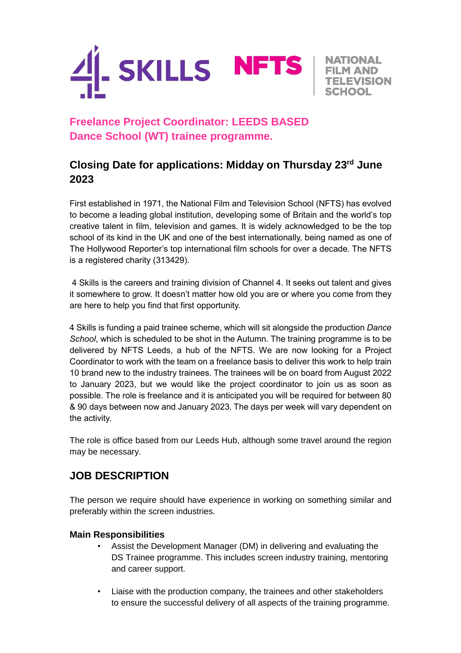

**EVISION** 

# **Freelance Project Coordinator: LEEDS BASED Dance School (WT) trainee programme.**

## **Closing Date for applications: Midday on Thursday 23rd June 2023**

First established in 1971, the National Film and Television School (NFTS) has evolved to become a leading global institution, developing some of Britain and the world's top creative talent in film, television and games. It is widely acknowledged to be the top school of its kind in the UK and one of the best internationally, being named as one of The Hollywood Reporter's top international film schools for over a decade. The NFTS is a registered charity (313429).

4 Skills is the careers and training division of Channel 4. It seeks out talent and gives it somewhere to grow. It doesn't matter how old you are or where you come from they are here to help you find that first opportunity.

4 Skills is funding a paid trainee scheme, which will sit alongside the production *Dance School*, which is scheduled to be shot in the Autumn. The training programme is to be delivered by NFTS Leeds, a hub of the NFTS. We are now looking for a Project Coordinator to work with the team on a freelance basis to deliver this work to help train 10 brand new to the industry trainees. The trainees will be on board from August 2022 to January 2023, but we would like the project coordinator to join us as soon as possible. The role is freelance and it is anticipated you will be required for between 80 & 90 days between now and January 2023. The days per week will vary dependent on the activity.

The role is office based from our Leeds Hub, although some travel around the region may be necessary.

### **JOB DESCRIPTION**

The person we require should have experience in working on something similar and preferably within the screen industries.

#### **Main Responsibilities**

- Assist the Development Manager (DM) in delivering and evaluating the DS Trainee programme. This includes screen industry training, mentoring and career support.
- Liaise with the production company, the trainees and other stakeholders to ensure the successful delivery of all aspects of the training programme.